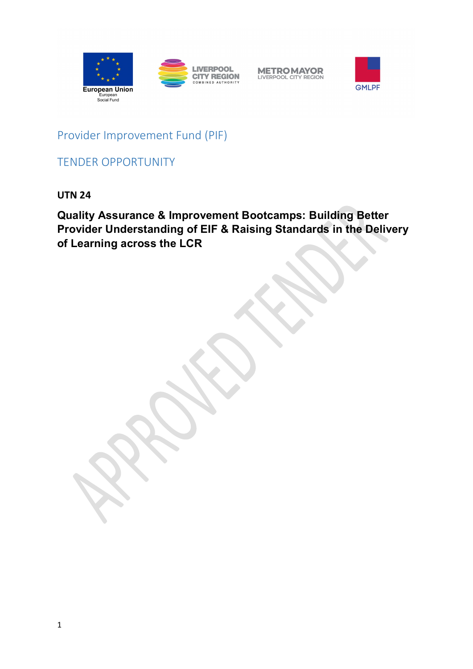





Provider Improvement Fund (PIF)

TENDER OPPORTUNITY

**UTN 24**

**Quality Assurance & Improvement Bootcamps: Building Better Provider Understanding of EIF & Raising Standards in the Delivery of Learning across the LCR**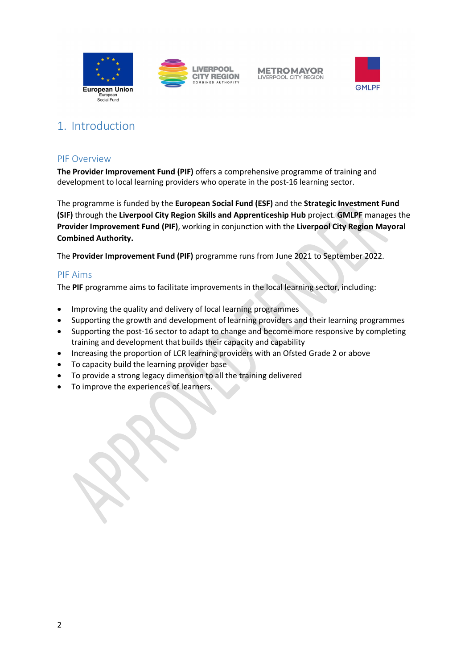





# 1. Introduction

#### PIF Overview

**The Provider Improvement Fund (PIF)** offers a comprehensive programme of training and development to local learning providers who operate in the post-16 learning sector.

The programme is funded by the **European Social Fund (ESF)** and the **Strategic Investment Fund (SIF)** through the **Liverpool City Region Skills and Apprenticeship Hub** project. **GMLPF** manages the **Provider Improvement Fund (PIF)**, working in conjunction with the **Liverpool City Region Mayoral Combined Authority.**

The **Provider Improvement Fund (PIF)** programme runs from June 2021 to September 2022.

#### PIF Aims

The **PIF** programme aims to facilitate improvements in the local learning sector, including:

- Improving the quality and delivery of local learning programmes
- Supporting the growth and development of learning providers and their learning programmes
- Supporting the post-16 sector to adapt to change and become more responsive by completing training and development that builds their capacity and capability
- Increasing the proportion of LCR learning providers with an Ofsted Grade 2 or above
- To capacity build the learning provider base
- To provide a strong legacy dimension to all the training delivered
- To improve the experiences of learners.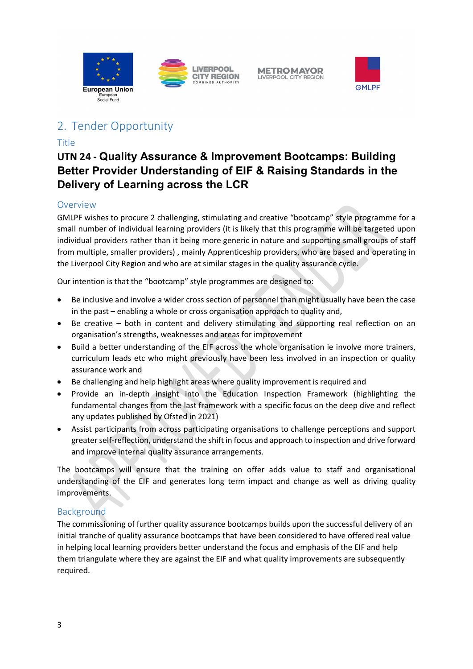





# 2. Tender Opportunity

## Title

## **UTN 24 - Quality Assurance & Improvement Bootcamps: Building Better Provider Understanding of EIF & Raising Standards in the Delivery of Learning across the LCR**

## Overview

GMLPF wishes to procure 2 challenging, stimulating and creative "bootcamp" style programme for a small number of individual learning providers (it is likely that this programme will be targeted upon individual providers rather than it being more generic in nature and supporting small groups of staff from multiple, smaller providers) , mainly Apprenticeship providers, who are based and operating in the Liverpool City Region and who are at similar stages in the quality assurance cycle.

Our intention is that the "bootcamp" style programmes are designed to:

- Be inclusive and involve a wider cross section of personnel than might usually have been the case in the past – enabling a whole or cross organisation approach to quality and,
- Be creative both in content and delivery stimulating and supporting real reflection on an organisation's strengths, weaknesses and areas for improvement
- Build a better understanding of the EIF across the whole organisation ie involve more trainers, curriculum leads etc who might previously have been less involved in an inspection or quality assurance work and
- Be challenging and help highlight areas where quality improvement is required and
- Provide an in-depth insight into the Education Inspection Framework (highlighting the fundamental changes from the last framework with a specific focus on the deep dive and reflect any updates published by Ofsted in 2021)
- Assist participants from across participating organisations to challenge perceptions and support greater self-reflection, understand the shift in focus and approach to inspection and drive forward and improve internal quality assurance arrangements.

The bootcamps will ensure that the training on offer adds value to staff and organisational understanding of the EIF and generates long term impact and change as well as driving quality improvements.

## Background

The commissioning of further quality assurance bootcamps builds upon the successful delivery of an initial tranche of quality assurance bootcamps that have been considered to have offered real value in helping local learning providers better understand the focus and emphasis of the EIF and help them triangulate where they are against the EIF and what quality improvements are subsequently required.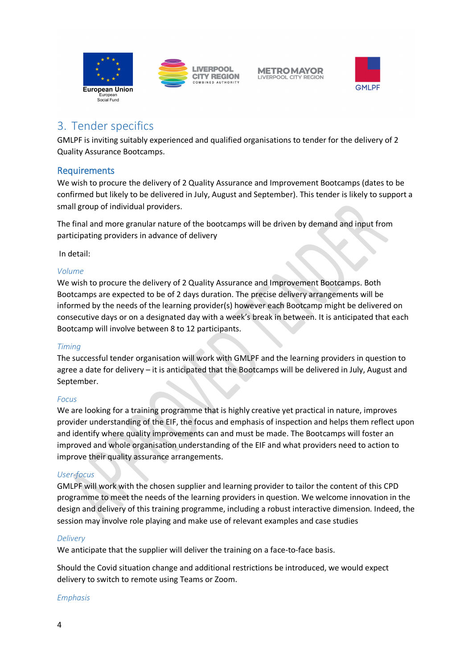



## 3. Tender specifics

GMLPF is inviting suitably experienced and qualified organisations to tender for the delivery of 2 Quality Assurance Bootcamps.

## Requirements

We wish to procure the delivery of 2 Quality Assurance and Improvement Bootcamps (dates to be confirmed but likely to be delivered in July, August and September). This tender is likely to support a small group of individual providers.

The final and more granular nature of the bootcamps will be driven by demand and input from participating providers in advance of delivery

In detail:

#### *Volume*

We wish to procure the delivery of 2 Quality Assurance and Improvement Bootcamps. Both Bootcamps are expected to be of 2 days duration. The precise delivery arrangements will be informed by the needs of the learning provider(s) however each Bootcamp might be delivered on consecutive days or on a designated day with a week's break in between. It is anticipated that each Bootcamp will involve between 8 to 12 participants.

#### *Timing*

The successful tender organisation will work with GMLPF and the learning providers in question to agree a date for delivery – it is anticipated that the Bootcamps will be delivered in July, August and September.

#### *Focus*

We are looking for a training programme that is highly creative yet practical in nature, improves provider understanding of the EIF, the focus and emphasis of inspection and helps them reflect upon and identify where quality improvements can and must be made. The Bootcamps will foster an improved and whole organisation understanding of the EIF and what providers need to action to improve their quality assurance arrangements.

#### *User-focus*

GMLPF will work with the chosen supplier and learning provider to tailor the content of this CPD programme to meet the needs of the learning providers in question. We welcome innovation in the design and delivery of this training programme, including a robust interactive dimension. Indeed, the session may involve role playing and make use of relevant examples and case studies

#### *Delivery*

We anticipate that the supplier will deliver the training on a face-to-face basis.

Should the Covid situation change and additional restrictions be introduced, we would expect delivery to switch to remote using Teams or Zoom.

#### *Emphasis*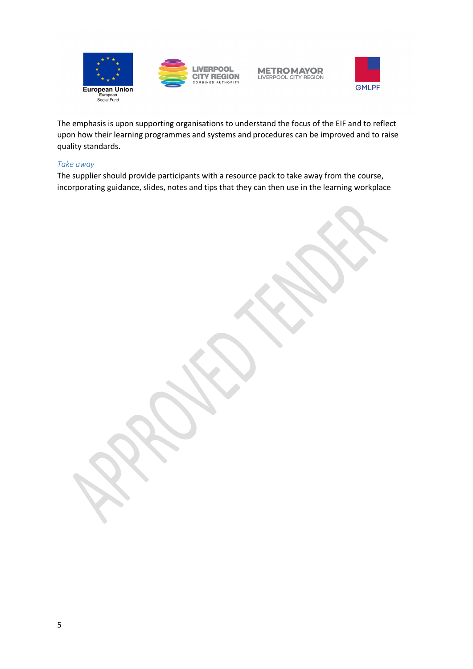





The emphasis is upon supporting organisations to understand the focus of the EIF and to reflect upon how their learning programmes and systems and procedures can be improved and to raise quality standards.

#### *Take away*

The supplier should provide participants with a resource pack to take away from the course, incorporating guidance, slides, notes and tips that they can then use in the learning workplace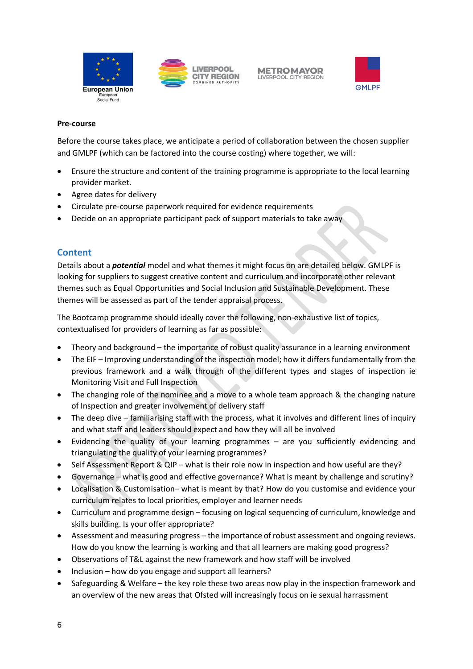



#### **Pre-course**

Before the course takes place, we anticipate a period of collaboration between the chosen supplier and GMLPF (which can be factored into the course costing) where together, we will:

- Ensure the structure and content of the training programme is appropriate to the local learning provider market.
- Agree dates for delivery
- Circulate pre-course paperwork required for evidence requirements
- Decide on an appropriate participant pack of support materials to take away

## **Content**

Details about a *potential* model and what themes it might focus on are detailed below. GMLPF is looking for suppliers to suggest creative content and curriculum and incorporate other relevant themes such as Equal Opportunities and Social Inclusion and Sustainable Development. These themes will be assessed as part of the tender appraisal process.

The Bootcamp programme should ideally cover the following, non-exhaustive list of topics, contextualised for providers of learning as far as possible:

- Theory and background the importance of robust quality assurance in a learning environment
- The EIF Improving understanding of the inspection model; how it differs fundamentally from the previous framework and a walk through of the different types and stages of inspection ie Monitoring Visit and Full Inspection
- The changing role of the nominee and a move to a whole team approach & the changing nature of Inspection and greater involvement of delivery staff
- The deep dive familiarising staff with the process, what it involves and different lines of inquiry and what staff and leaders should expect and how they will all be involved
- Evidencing the quality of your learning programmes are you sufficiently evidencing and triangulating the quality of your learning programmes?
- Self Assessment Report & QIP what is their role now in inspection and how useful are they?
- Governance what is good and effective governance? What is meant by challenge and scrutiny?
- Localisation & Customisation– what is meant by that? How do you customise and evidence your curriculum relates to local priorities, employer and learner needs
- Curriculum and programme design focusing on logical sequencing of curriculum, knowledge and skills building. Is your offer appropriate?
- Assessment and measuring progress the importance of robust assessment and ongoing reviews. How do you know the learning is working and that all learners are making good progress?
- Observations of T&L against the new framework and how staff will be involved
- Inclusion how do you engage and support all learners?
- Safeguarding & Welfare the key role these two areas now play in the inspection framework and an overview of the new areas that Ofsted will increasingly focus on ie sexual harrassment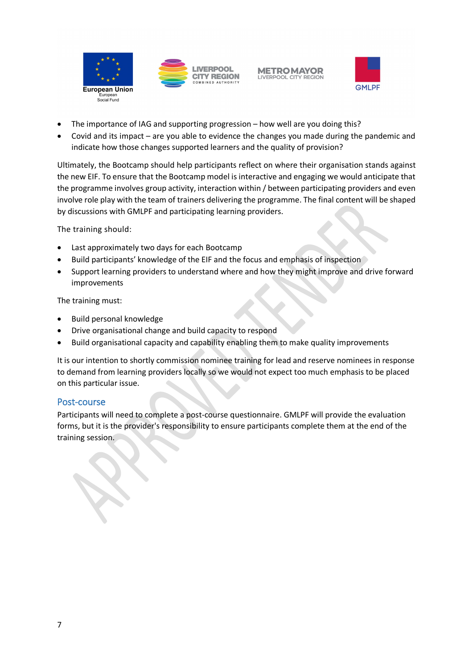

**METROMAYOR CITY REGION LIVERPOOL CITY REGION** 



- The importance of IAG and supporting progression how well are you doing this?
- Covid and its impact are you able to evidence the changes you made during the pandemic and indicate how those changes supported learners and the quality of provision?

Ultimately, the Bootcamp should help participants reflect on where their organisation stands against the new EIF. To ensure that the Bootcamp model is interactive and engaging we would anticipate that the programme involves group activity, interaction within / between participating providers and even involve role play with the team of trainers delivering the programme. The final content will be shaped by discussions with GMLPF and participating learning providers.

The training should:

- Last approximately two days for each Bootcamp
- Build participants' knowledge of the EIF and the focus and emphasis of inspection
- Support learning providers to understand where and how they might improve and drive forward improvements

The training must:

- Build personal knowledge
- Drive organisational change and build capacity to respond
- Build organisational capacity and capability enabling them to make quality improvements

It is our intention to shortly commission nominee training for lead and reserve nominees in response to demand from learning providers locally so we would not expect too much emphasis to be placed on this particular issue.

## Post-course

Participants will need to complete a post-course questionnaire. GMLPF will provide the evaluation forms, but it is the provider's responsibility to ensure participants complete them at the end of the training session.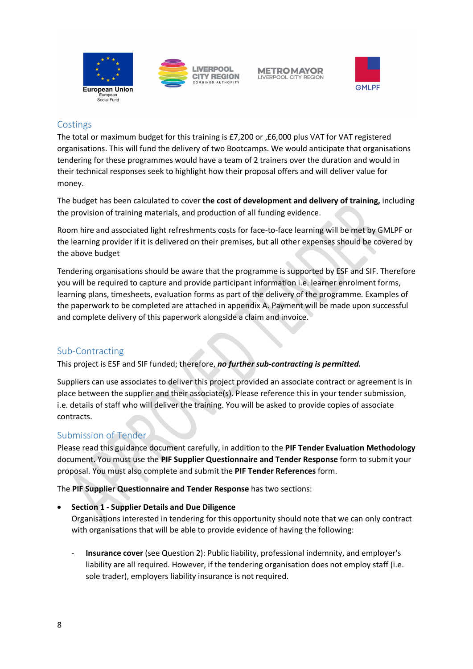



## **Costings**

The total or maximum budget for this training is £7,200 or ,£6,000 plus VAT for VAT registered organisations. This will fund the delivery of two Bootcamps. We would anticipate that organisations tendering for these programmes would have a team of 2 trainers over the duration and would in their technical responses seek to highlight how their proposal offers and will deliver value for money.

The budget has been calculated to cover **the cost of development and delivery of training,** including the provision of training materials, and production of all funding evidence.

Room hire and associated light refreshments costs for face-to-face learning will be met by GMLPF or the learning provider if it is delivered on their premises, but all other expenses should be covered by the above budget

Tendering organisations should be aware that the programme is supported by ESF and SIF. Therefore you will be required to capture and provide participant information i.e. learner enrolment forms, learning plans, timesheets, evaluation forms as part of the delivery of the programme. Examples of the paperwork to be completed are attached in appendix A. Payment will be made upon successful and complete delivery of this paperwork alongside a claim and invoice.

## Sub-Contracting

This project is ESF and SIF funded; therefore, *no further sub-contracting is permitted.*

Suppliers can use associates to deliver this project provided an associate contract or agreement is in place between the supplier and their associate(s). Please reference this in your tender submission, i.e. details of staff who will deliver the training. You will be asked to provide copies of associate contracts.

## Submission of Tender

Please read this guidance document carefully, in addition to the **PIF Tender Evaluation Methodology** document. You must use the **PIF Supplier Questionnaire and Tender Response** form to submit your proposal. You must also complete and submit the **PIF Tender References** form.

The **PIF Supplier Questionnaire and Tender Response** has two sections:

#### • **Section 1 - Supplier Details and Due Diligence**

Organisations interested in tendering for this opportunity should note that we can only contract with organisations that will be able to provide evidence of having the following:

- **Insurance cover** (see Question 2): Public liability, professional indemnity, and employer's liability are all required. However, if the tendering organisation does not employ staff (i.e. sole trader), employers liability insurance is not required.